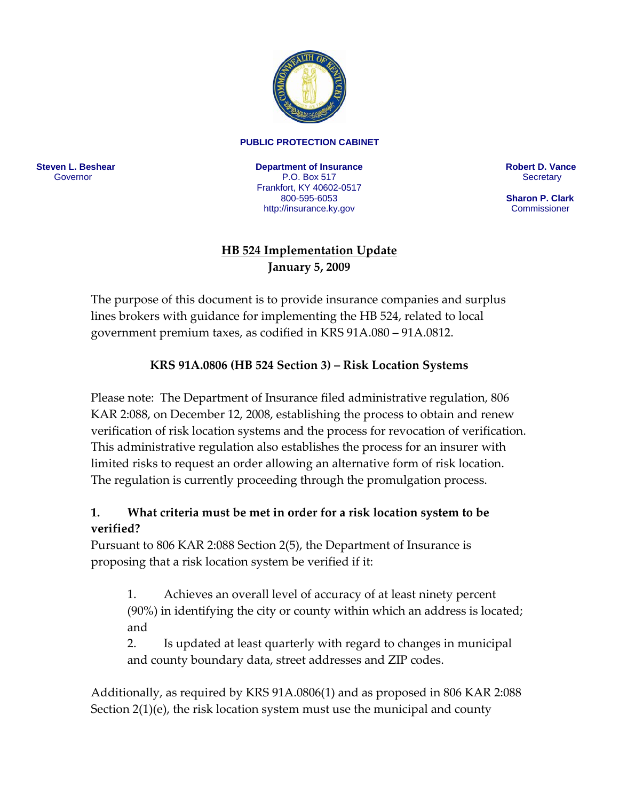

#### **PUBLIC PROTECTION CABINET**

**Steven L. Beshear** Governor

**Department of Insurance**  P.O. Box 517 Frankfort, KY 40602-0517 800-595-6053 <http://insurance.ky.gov>

**Robert D. Vance Secretary** 

 **Sharon P. Clark Commissioner** 

#### **HB 524 Implementation Update January 5, 2009**

The purpose of this document is to provide insurance companies and surplus lines brokers with guidance for implementing the HB 524, related to local government premium taxes, as codified in KRS 91A.080 – 91A.0812.

#### **KRS 91A.0806 (HB 524 Section 3) – Risk Location Systems**

Please note: The Department of Insurance filed administrative regulation, 806 KAR 2:088, on December 12, 2008, establishing the process to obtain and renew verification of risk location systems and the process for revocation of verification. This administrative regulation also establishes the process for an insurer with limited risks to request an order allowing an alternative form of risk location. The regulation is currently proceeding through the promulgation process.

#### **1. What criteria must be met in order for a risk location system to be verified?**

Pursuant to 806 KAR 2:088 Section 2(5), the Department of Insurance is proposing that a risk location system be verified if it:

1. Achieves an overall level of accuracy of at least ninety percent (90%) in identifying the city or county within which an address is located; and

2. Is updated at least quarterly with regard to changes in municipal and county boundary data, street addresses and ZIP codes.

Additionally, as required by KRS 91A.0806(1) and as proposed in 806 KAR 2:088 Section 2(1)(e), the risk location system must use the municipal and county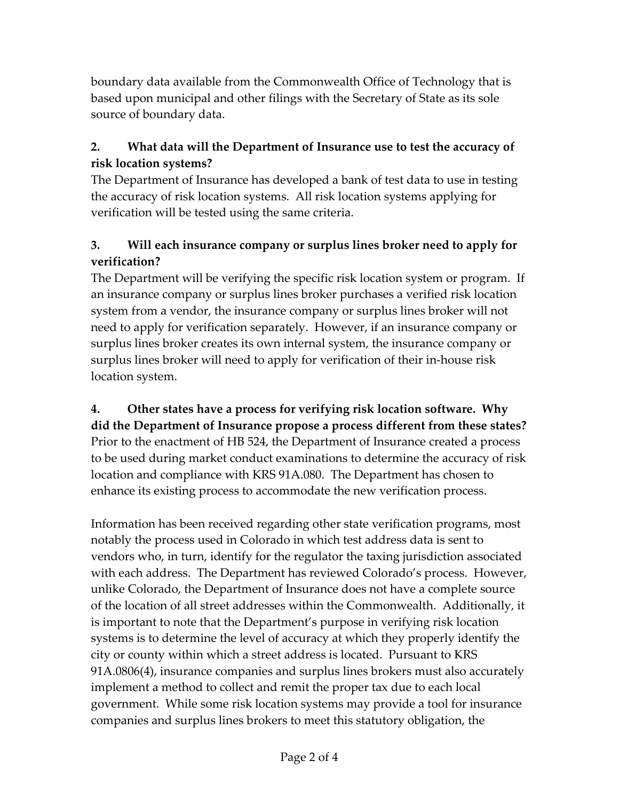boundary data available from the Commonwealth Office of Technology that is based upon municipal and other filings with the Secretary of State as its sole source of boundary data.

# **2. What data will the Department of Insurance use to test the accuracy of risk location systems?**

The Department of Insurance has developed a bank of test data to use in testing the accuracy of risk location systems. All risk location systems applying for verification will be tested using the same criteria.

# **3. Will each insurance company or surplus lines broker need to apply for verification?**

The Department will be verifying the specific risk location system or program. If an insurance company or surplus lines broker purchases a verified risk location system from a vendor, the insurance company or surplus lines broker will not need to apply for verification separately. However, if an insurance company or surplus lines broker creates its own internal system, the insurance company or surplus lines broker will need to apply for verification of their in‐house risk location system.

**4. Other states have a process for verifying risk location software. Why did the Department of Insurance propose a process different from these states?** Prior to the enactment of HB 524, the Department of Insurance created a process to be used during market conduct examinations to determine the accuracy of risk location and compliance with KRS 91A.080. The Department has chosen to enhance its existing process to accommodate the new verification process.

Information has been received regarding other state verification programs, most notably the process used in Colorado in which test address data is sent to vendors who, in turn, identify for the regulator the taxing jurisdiction associated with each address. The Department has reviewed Colorado's process. However, unlike Colorado, the Department of Insurance does not have a complete source of the location of all street addresses within the Commonwealth. Additionally, it is important to note that the Department's purpose in verifying risk location systems is to determine the level of accuracy at which they properly identify the city or county within which a street address is located. Pursuant to KRS 91A.0806(4), insurance companies and surplus lines brokers must also accurately implement a method to collect and remit the proper tax due to each local government. While some risk location systems may provide a tool for insurance companies and surplus lines brokers to meet this statutory obligation, the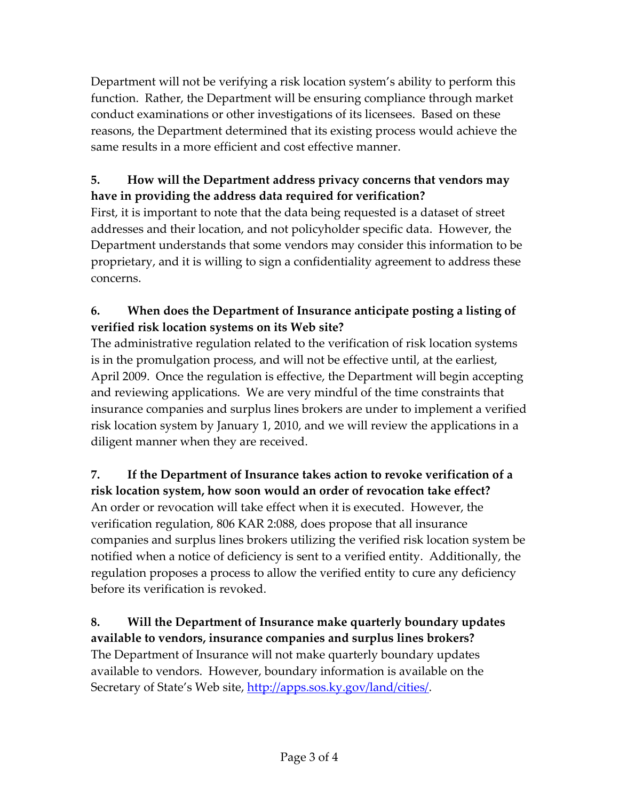Department will not be verifying a risk location system's ability to perform this function. Rather, the Department will be ensuring compliance through market conduct examinations or other investigations of its licensees. Based on these reasons, the Department determined that its existing process would achieve the same results in a more efficient and cost effective manner.

# **5. How will the Department address privacy concerns that vendors may have in providing the address data required for verification?**

First, it is important to note that the data being requested is a dataset of street addresses and their location, and not policyholder specific data. However, the Department understands that some vendors may consider this information to be proprietary, and it is willing to sign a confidentiality agreement to address these concerns.

# **6. When does the Department of Insurance anticipate posting a listing of verified risk location systems on its Web site?**

The administrative regulation related to the verification of risk location systems is in the promulgation process, and will not be effective until, at the earliest, April 2009. Once the regulation is effective, the Department will begin accepting and reviewing applications. We are very mindful of the time constraints that insurance companies and surplus lines brokers are under to implement a verified risk location system by January 1, 2010, and we will review the applications in a diligent manner when they are received.

#### **7. If the Department of Insurance takes action to revoke verification of a risk location system, how soon would an order of revocation take effect?**

An order or revocation will take effect when it is executed. However, the verification regulation, 806 KAR 2:088, does propose that all insurance companies and surplus lines brokers utilizing the verified risk location system be notified when a notice of deficiency is sent to a verified entity. Additionally, the regulation proposes a process to allow the verified entity to cure any deficiency before its verification is revoked.

**8. Will the Department of Insurance make quarterly boundary updates available to vendors, insurance companies and surplus lines brokers?** The Department of Insurance will not make quarterly boundary updates available to vendors. However, boundary information is available on the Secretary of State's Web site, [http://apps.sos.ky.gov/land/cities/.](http://apps.sos.ky.gov/land/cities/)